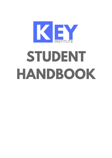

# STUDENT HANDBOOK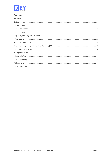

# **Contents**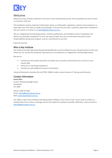

# <span id="page-2-0"></span>Welcome

Welcome to Key Institute, welcome to the start of your educational journey. We are grateful you have chosen us to partner with you.

This handbook contains important information about our philosophy, regulations, policies and procedures, to help make your time with us simple and enjoyable. If at any time you have a question, please don't hesitate to ask your trainer or contact us at [admin@keyinstitute.com.au.](mailto:admin@keyinstitute.com.au)

We are a Registered Training Organisation, and the qualifications and individual units of competency we deliver are nationally recognised. As such, we need to make sure you are informed and aware of your responsibilities during your program, and our commitment to you too.

Enjoy the journey.

## Who is Key Institute

Key Institute provides Nationally Recognised Qualification and Accredited Courses. We guarantee to meet and, where we can, exceed the standards required by our accreditation as a Registered Training Organisation.

We aim to:

- Provide you with quality education to enable you to practice and promote your services in your chosen field
- Assist you in achieving competency
- Provide you with additional resource information

Industrial Resolution Australia Pty Ltd (TOID: 20855) trades as Key Institute of Training and Education.

## Contact Information

**Head office** Level 4, 99 Queensbridge Street Southbank VIC 3006

Phone: 1300 471 660 Email: [admin@keyinstitute.com.au](mailto:admin@keyinstitute.com.au) Web: [www.keyinstitute.com.au](http://www.keyinstitute.com.au/)

Our office is open every weekday (excluding public holidays), from 9 am to 5 pm. If you need to contact us outside these hours, leave a message and we will respond as quickly as possible. Otherwise, send an email to [admin@keyinstitute.com.au](mailto:admin@keyinstitute.com.au)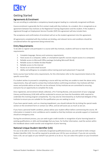

# <span id="page-3-0"></span>Getting Started

## Agreements & Enrolment

You are enrolling to undertake a competency-based program leading to a nationally recognised certificate.

Course enrolment is generally the first contact made with Key Institute. As a student, this is recognised as an agreement between Key Institute as the Registered Training Organisation and the student. If the student is registered through an Employment Service Provider (ESP) this agreement will also include them.

The acceptance and confirmation of enrolment will act as the student agreement into this agreement.

All agreements completed with Key Institute are binding, and relevant terms and conditions should be considered before the agreement being entered into.

## Entry Requirements

To be able to register and participate in a course with Key Institute, students will have to meet the entry requirements:

- 1. Complete language, literacy and numeracy requirements
- 2. Have access to a computer, tablet, or smartphone (specific courses require access to a computer)
- 3. Reliable access to Microsoft Office package (including Microsoft Word)
- 4. Reliable access to Adobe Acrobat Reader
- 5. Reliable access to the internet
- 6. Access to an active email account
- 7. Ability and willingness to complete online training (and work-placement if required)

Some courses have further entry requirements, for this information refer to the requirements listed on the specific course flyer.

If a student wishes to proceed in completing a course with key and they are unable to meet the above entry requirements, they will need to contact Key Institute before confirming enrolment. Key Institute will then assess and provide advice on how this can be achieved. At Key Institute we are committed to ensuring everyone has an opportunity to complete the study.

Once registered, and enrolment details collected, a Pre-Training Review, and assessment of your Language Literacy and Numeracy (LLN) skills will be conducted to ensure you have the foundation skills required to undertake this training program competently. You may also be interviewed by an Authorised delegate of Key Institute to ensure you are suitable for the qualification you are seeking to enrol.

If you have special needs, such as a hearing impediment, you should indicate this by ticking the special needs section on the enrolment form or contact our office, and we will assist you as much as we can.

If you have a personal health condition, please advise your student officer before commencing the course. All information is treated in strict confidence and is needed so that Key Institute can provide support or treatment should an emergency arise.

During the enrolment process, you can seek to gain credit transfer or recognition of prior learning based on existing qualifications or skills and knowledge that you have. For further information, read the section within this handbook about credit transfer and recognition of prior learning.

## National Unique Student Identifier (USI)

For you to be able to enrol into a nationally recognised qualification/course, you will need to hold a Unique Student Identifier (USI). You will be required to provide your USI for your enrolment. If you do not currently have a USI, we can apply on your behalf if you permit us to do so. You can select this option on your Enrolment Form.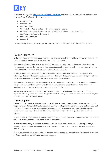

To access a USI, log onto<http://usi.gov.au/Pages/default.aspx> and follow the prompts. Please make sure you have one form of ID from the list below ready:

- Driver's Licence
- Medicare Card
- Australian Passport
- Visa (with Non-Australian Passport) for international students
- Birth Certificate (Australian) \*please note a Birth Certificate extract is not sufficient
- Certificate of Registration by Descent
- Citizenship Certificate
- ImmiCard

If you are having difficulty in accessing a USI, please contact our office and we will be able to assist you.

# <span id="page-4-0"></span>Course Structure

At the commencement of your course, you will receive a course outline that will provide you with information about the course content, explain the dates and length of the course.

Your course is designed with ease of use in mind. The ability to study from just about anywhere, from any internet-enabled device. Our learning and assessment material is created to deliver current industry training, meet competency standards and use compliant assessment practices.

As a Registered Training Organisation (RTO), we deliver to you a dedicated and structured approach to achieving a Nationally Recognised Qualification. Each Nationally Recognised Qualification is designed with you the student, our industry partners, and our expert trainers and assessors.

Your course is made up of Units of Competency. As such, our courses are designed to assess your competency, using something we call competency-based training. Competency is generally demonstrated through a combination of assessment activities and can include a work placement.

Our learning and assessment martial is consistently reviewed as part of our commitment to continuous improvement. Every course available is designed a blended learning approach and includes an opportunity for both theory and practical applications.

#### Student Support

Every student registered to a Key Institute course will receive a welcome call to ensure they get the support they need to get started with their learning journey. At other stages of the learning, journey calls are arranged at different intervals from our Ambassadors (student support), Assessment Team, and Work Placement Coordinators (if required). The whole of Key Institute is here to support you to get the most out of your training.

As work is submitted for review by students, any of our support teams may make contact to ensure the work is their own, or provide additional support in their assessments.

Student can contact any of our team members on 1300 471 660 from 9 am-5 pm AEST during weekdays. Support is never far away with options available via email or online chat through our Learning Management System (LMS).

At every touchpoint with our students, Key Institute staff encourage the students to maintain contact and alert us if they experience any difficulties or require support.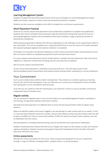

## Learning Management System

Students complete the theoretical requirements of the course through our Learning Management System (LMS) and include a mixture of audio, visual and interactive activities to complete.

Students use the resources available via the LMS to complete the unit/course requirements.

## Work Placement Practical

Some of our courses require work placement to be satisfactorily completed to complete the qualification. Students that need to complete final assessments take the theoretical training they have learnt from our Learning Management System into the workplace where they complete a range of practical activities to demonstrate competency.

Work placement generally is between 90-120 hours dependent on the individual course requirements (refer to the course flyer). This can be completed over 3 week period full-time or over the course of 6 months provided the required workplace logbook and evidence collection is completed.

All students are required to be deemed satisfactory in their online assessments before work placement occurs, this is to ensure student are adequately prepared to enter the work environment.

If a course requires work placement and the student doesn't complete the work placement, they may only be eligible for a statement of attainment showing only the units they have completed.

Not all courses require work placement.

As part of your work placement, a workplace assessment will occur. This will make up part of the demonstratable practical requirements and students will be assessed either satisfactory or not yet satisfactory.

## <span id="page-5-0"></span>Your Commitment

Each course is broken down within smaller training blocks. These blocks are created to guide your learning journey. We call this the training plan. If you are referred to our courses by an Employment Service Provider, the training plan is set in consultation with all parties.

If you feel you are unable to meet the training plan, you should let us know as soon as possible, and let your Employment Service Provider know.

#### Regular activity

You are required to regularly log in to your account within our Learning Management System, participate in the learning, and genuinely attempt assessment activities.

We believe the best approach is to dedicate time to access the learning and build a habit of regular study patterns.

Where we identify students that haven't logged in, we will attempt to make contact with you at week 2, 4 and 6. If you have been deemed inactive for 6 weeks, and you have failed to contact any Key Institute staff, you will be given an additional 7 days to contact Key Institute. If after this period, we haven't had a response, you will be withdrawn from the course.

Non-participation is considered demonstrating a lack of commitment and is grounds for withdrawal.

Students should keep Key Institute informed of any changes that impact on their ability to study, and maintain regular participation. Students are also encouraged to keep their Employment Service Provider informed if they were referred to the course.

#### Online assessments

Attempt the online assessments for the course. These are genuinely designed to test your competency through a range of methods, including written, multiple-choice or scenarios/projects.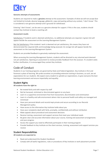

#### **Genuine attempts of assessments**

Students are required to make a **genuine** attempt at the assessment. Examples of what we will not accept (but not limited to) include; abusive language, gibberish, copy and pasting without any context, 'I don't know'. This is considered a non-genuine attempt and is grounds for withdrawal.

Entering 'I don't know', can be seen as a genuine attempt for support. If this is the case, students should contact Key Institute to book a coaching call.

#### **Assessment results**

Satisfactory: If students work is deemed satisfactory, no additional attempts are required. A green tick will appear beside the assessment on the Learning Management System.

Not Yet Satisfactory: If the students' work is deemed not yet satisfactory, this means they have not demonstrated the required skills and knowledge being assessed. An orange tick will appear beside the assessment on the Learning Management System.

Students are provided feedback to genuinely reattempt the assessment.

When accessing the Learning Management System, students will be directed to any returned work deemed not yet satisfactory. Opening an assessment to review provides feedback from the assessor. If a student seeks further clarification, it is encouraged they contact Key Institute.

# <span id="page-6-0"></span>Code of Conduct

Students in our training programs are governed by State and Federal legislation. Key Institute is first and foremost a place of learning. We pride ourselves on providing extensive training in business, as such, we set expectations for our students. We expect every student to uphold our expectations, to give everyone the best learning environment and ensure impartiality and equality.

## Student Rights

**All students have the right to:**

- Be treated fairly and with respect by staff
- Not be harassed, victimised or discriminated against on any basis
- Learn in a supportive environment free from harassment, discrimination and victimisation
- Learn in a healthy and safe environment where risks to personal health and safety are managed and minimised
- Have your personal details and records kept private and secure according to our Records Management policy
- Have access to the information Key Institute holds about you
- Have your complaints dealt with fairly, promptly, confidentially and without retribution
- Make appeals about procedural and assessment decisions
- Receive training, assessment and support services that meet your individual needs
- Be given clear and accurate information about your course, training and assessment arrangements and your progress
- Access the support you need to effectively participate in their training program
- Provide feedback to Key Institute on the client services, training, assessment and support services you receive

#### Student Responsibilities

**All students are expected to:**

- Read and understand this Student Handbook
- Comply with all lawful regulations, rules or procedures of Key Institute or work placement provider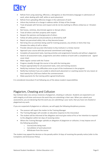

- Refrain from using swearing, offensive, a derogatory or discriminatory language in submissions of work, when dealing with staff, while on work placement
- Refrain from uploading offensive images in the submission of work
- Inform Key Institute of a change in address within 10 days of the change
- Treat all people with fairness and respect and do not do anything to offend, embarrass or threaten others
- Not harass, victimise, discriminate against or disrupt others
- Treat all others and their property with respect
- Respect the opinions and backgrounds of others
- Follow all safety policies and procedures as directed by staff
- Report any perceived safety risks as they become known
- Not bring into our premises being used for training purposes, any articles or items that may threaten the safety of self or others
- Provide relevant and accurate information to Key Institute in a timely manner
- Approach your course with due personal commitment and integrity
- Complete all assessment tasks, learning activities and assignments honestly and without plagiarism
- Hand in all assessment tasks, assignments and other evidence of work with a completed and signed cover sheet
- Make regular contact with the Trainer
- Progress steadily through the course in line with the training plan
- Prepare appropriately for all assessment tasks, visits and training sessions
- Notify Key Institute if any difficulties arise as part of the involvement in the program
- Notify Key Institute if you are unable to attend work placement or coaching session for any reason at least twenty-four (24) hours before the commencement
- Make payments for the training within agreed timeframes

It is considered misconduct if not following any of the above student responsibilities

# <span id="page-7-0"></span>Plagiarism, Cheating and Collusion

Key Institute takes very serious instances of plagiarism, cheating or collusion. Students are expected to act with integrity at all times and ensure the work they are submitting is their own. When you submit your assessments, you are declaring that the work you are submitting is your work, that you have not cheated or plagiarised any work.

If you are suspected of plagiarism or collusion, we will apply the following disciplinary process:

- The assessor will report the matter to the Training Manager
- The Training Manager will consider an educative response to the misconduct
- The student will be informed of the allegation and must give notice of his or her intention to respond to the allegation within ten days of receiving notice
- Where the Training Manager upholds an allegation of plagiarism or collusion, it may impose one of the following penalties:
	- o Course/units being reset
	- o Cancellation of work placement
	- o Withdrawn from the course

The student may appeal the decision or the penalty within 14 days of receiving the penalty notice (refer to the Complaints and Grievances Policy).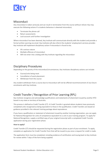

# <span id="page-8-0"></span>**Misconduct**

Any misconduct is taken seriously and can result in termination from the course without refund. Key may execute the following actions if a students behaviour is deemed misconduct;

- Terminate the phone call
- Return assessments
- Lock account until further investigation

Where misconduct has been deemed, Key Institute will communicate directly with the student and provide a formal written warning via email. Key Institute will also inform the students' employment services provider. Key Institute will implement disciplinary action if misconduct is found to be;

- Of a serious nature
- Multiple offences of misconduct
- Will not enter into a dialog with Key Institute regarding the misconduct

# <span id="page-8-1"></span>Disciplinary Procedures

Depending on the gravity of the misconduct/circumstances, Key Institutes disciplinary actions can include:

- Course/units being reset
- Cancellation of work placement
- Withdrawn from the course

Any student withdrawn from a course due to misconduct will not be offered recommencement of any future enrolments with Key Institute.

# <span id="page-8-2"></span>Credit Transfer / Recognition of Prior Learning (RPL)

Key Institute recognise and acknowledge qualifications and statements of attainment issued by another RTO based in any state or territory of Australia.

This process is defined as Credit Transfer (CT). A Credit Transfer is granted where students have previously completed units recognised as being equivalent to those in the qualification. Credit Transfers are based on guidance provided in the relevant training package about equivalence.

If you have a qualification or statement of attainment issued by another training organisation, you can apply for National Recognition for units of competence equivalent to a unit in your training program. To apply for National Recognition, supply a certified copy of your original transcript with a completed Credit Transfer application during your registration phase.

#### **How to apply?**

Credit Transfer (CT) should be requested during the registration phase as part of your enrolment. To apply, complete an application for Credit Transfer from that will be issued to you once a request for credit is made.

The application form must be completed, including evidence of certification and issuing back to Key Institute for review within 7 days of the form being supplied.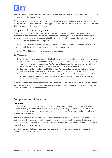

If an extension is requested past the 7 days, this must be initiated by contacting Key Institute on 1300 471 660 or via admin@keyinstitute.com.au

If it is determined there is no equivalency with the units, you may apply for Recognition of Prior Learning. If you are unsatisfied with the outcome of your application, you can lodge an appeal (refer to the Complains and Grievance section of this student handbook.

## Recognition of Prior Learning (RPL)

Recognition of Prior Learning (RPL) acknowledges the full range of an individual's skills and knowledge, irrespective of how it has been acquired. This includes competencies gained through formal and informal study, work experience, employment and other life experiences. Students undertaking training programs are entitled to have their prior learning recognised.

The process of RPL requires students to collected a detailed portfolio of evidence to demonstrate that they have all the skills, knowledge and currency relating to each unit of competency.

The cost for RPL is \$80 per unit of competency upon application.

#### **Our RPL process:**

- 1. Outline on the application form the details of your past experience relevant to your training program.
- 2. You are asked to attend an interview with an appropriately skilled program Assessor who will talk to you about your current competency. The Assessor will determine the most appropriate method of verifying the competencies according to the assessment criteria in the RPL kit.
- 3. Submit a portfolio of evidence and RPL kit and the Assessor will assess your current competence against the performance criteria, skills and knowledge of the unit or module being sought.
- 4. An assessment report is provided, where current competence is not established, a recommendation for gap training is included. You may be asked to provide additional information or attend a second interview at a later date.

Successful students who meet all the RPL requirements are able to proceed to further training or obtain their certificate. Applications may appeal any decision through the appeals procedure (refer to the Complains and Grievance section of this student handbook).

# <span id="page-9-0"></span>Complaints and Grievances

#### **Overview**

Key Institute is committed to providing an effective, efficient, timely, fair and confidential non-academic grievance handling procedure for all students within 60 days of receiving the complaint. Complainants are entitled to access the grievance procedures regardless of the location of study, the complainant's place of residence or mode of study.

**Non-academic matters** include those matters which do not relate to student progress, assessment, course content or awards in a course and include complaints in relation to personal information that the provider holds in relation to the Student. Non-academic grievances tend to arise from events occurring at a provider or from decisions made by a provider.

**Academic matters** include those matters which relate to student progress, assessment, course content or awards in a VET course of study.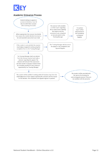

## Academic Grievance Process

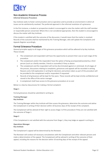

## Non-Academic Grievance Process

#### **Informal Grievance Procedure**

Key Institute seeks to foster communication and co-operation and to provide an environment in which all issues can be satisfactorily resolved. The preferred approach is the informal resolution of a grievance.

In the first instance, a student or prospective student is encouraged to raise the matter with the staff member or responsible person concerned. Where this is not considered appropriate, then the student is encouraged to discuss the matter with Key Institute.

If the student is satisfied with the outcome of the discussion, it would mean that the matter is resolved. Records of the outcome shall be maintained by the Training Manager, who will update the Complaints and Appeals Register accordingly.

## Formal Grievance Procedure

General principles apply to all stages of this grievance procedure which will be adhered to by Key Institute. These include:

- The complainant and respondent will have the opportunity to present their case at each stage of the procedure
- The complainant and/or the respondent have the option of being accompanied/assisted by a third person (such as a family member, friend or counsellor) if they so desire
- The complainant and the respondent will not be discriminated against or victimised. At all stages of the process, discussions relating to complaints, grievances and appeals will be recorded in writing. Reasons and a full explanation in writing for decisions and actions taken as part of this procedure will be provided to the complainant and/or respondent if requested
- Records of all grievances will be kept for five years. These records will be kept strictly confidential and stored in the office of the senior manager
- A complainant shall have access to this grievance procedure at no cost

Below is a step by step process for making a formal complaint:

#### **Stage 1**

Formal grievances should be submitted in writing to:

#### **Training Manager Key Institute**

The Training Manager within Key Institute will then assess the grievance, determine the outcome and advise the Complainant in writing of their decision within 10 business days of the receipt of the complaint.

The Complainant will be advised of their right to access Stage 2 of this procedure if they are not satisfied with the outcome of Stage 1.

#### **Stage 2**

If the Complainant is not satisfied with the outcome from Stage 1, they may lodge an appeal in writing to:

#### **Operations Manager Key Institute**

The Complainant's appeal will be determined by the Reviewer.

The Reviewer will conduct all necessary consultations with the Complainant and other relevant persons and make a determination of the appeal. The Complainant will be advised in writing of the outcome of their appeal, including the reasons for the decision within 10 working days of the receipt of the appeal.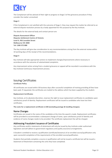

The Complainant will be advised of their right to progress to Stage 3 of the grievance procedure if they consider the matter unresolved.

#### **Stage 3**

If the Complainant is not satisfied with the outcome of Stage 2, they may request the matter be referred to an external dispute resolution process by a body appointed for this purpose by the Key Institute.

The details for the external body and contact person are:

**Dispute Assessment Officer Disputes Settlement Centre of Victoria Level 4, 456 Lonsdale Street Melbourne VIC 3000 Tel: 1300 372 888**

The Key Institute will give due consideration to any recommendations arising from the external review within 10 working days of the receipt of the recommendations.

#### **Stage 4**

Key institute will take appropriate actions to implement changes/improvements where necessary in accordance with the outcome of substantiated complaints.

Any improvement action arising from a student grievance or appeal will be recorded in accordance with the Key Institute Continuous Improvement process.

# <span id="page-12-0"></span>Issuing Certificates

#### **Certificate Policy**

All certificates are issued within 30 business days after successful completion of training providing all fees have been paid. If requested, the certificates are mailed to the address which has been supplied by the student.

#### **Replacement Certificates**

Key Institute, at its absolute discretion, reserves the right to issue replacement certificates to candidates upon satisfactory proof of identity. Replacement certificates will be issued to candidates who have lost their certificates.

**The costs for a replacement certificate is \$40 (excluding postage & handling charges).**

#### Name Changes

Certificates are issued in the name of the candidate at the time the award is made. Replacement certificates will be provided to accommodate a subsequent change of name, upon satisfactory proof of identity and evidence of name changes needs to be provided. The certificate replacement fee will be charged.

#### Addressing Fraudulent Issuance of Certificates

Any certificates and/or statements of attainment will only be issued by Key Institute under authorised legislation and will adhere to government regulatory and quality assurance arrangements.

A Student is entitled to receive a qualification (certificate/testamur) of an enrolled course/qualification only upon successful completion of the requirements of the enrolled course/qualification.

Students that partially complete a course or qualification will not be issued a certificate but will be issued a Statement of Attainment containing the units they have completed.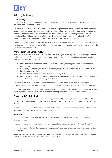

# <span id="page-13-0"></span>Privacy & Safety

## Child Safety

Key Institute is committed to safety and wellbeing of all children and young people. This will be the primary focus of our care and decision making.

Key Institute has a zero-tolerance of child abuse, and all allegations and safety concerns will be treated very seriously and consistently with our robust policies and procedures. We have a legal and moral obligation to contact authorities when we are worried about a child's safety, which we follow rigorously. Particular attention will be paid to the cultural safety of Aboriginal children and children from culturally and/or linguistically diverse backgrounds, as well as the safety of children with a disability.

Every person engaged with Key Institute has a responsibility to understand the important and specific role they play to ensure that the wellbeing and safety of all children and young people are at the forefront of all they do and every decision they make.

## Work Health and Safety (WHS)

Under the Work Health and Safety Act 2011, Key Institute recognises the importance of providing a safe and healthy environment for students, contractors and visitors during their participation in work and training activities. It is your responsibility to:

- Protect your own health and safety and to avoid adversely affecting the health and safety of any other person
- Not wilfully or recklessly interfere or misuse anything provided by Key Institute in the interests of health, safety or welfare
- Co-operate with health and safety directives given by staff
- Ensure you are not affected by the consumption of drugs or alcohol, as to endanger your own health and safety or the health and safety of another person

Key Institute strives for excellence in workplace health and safety and is committed to providing an environment free from risks and conducive to the productivity and efficiency needs of its students and others.

Compliance with both OHS/WHS federal and state Legislation and complies with all other relevant legislation, codes of practice, advisory, best practice standards and organisational policies and procedures.

## Privacy and Confidentiality

Key Institute at all times complies with the Privacy Amendment (Enhancing Privacy Protection) Act 2012. The Privacy Amendment prevents Key Institute from providing any Student details to any person other than the student.

Students are to note: our obligations to provide students' private information as required under the relevant state and federal law to government departments.

## Privacy Act

Students should be familiar with the Privacy Act Legislation. This legislation is detailed on the website [www.oaic.gov.au](http://www.oaic.gov.au/)

Personal information is collected solely for the purpose of operating as a Registered Training Organisation.

The requirements of the registering authority may require the releases of your personal information for the purpose of audit.

Under the National Privacy Principles, you can access personal information held on you and you may request corrections to the information that is incorrect or out of date.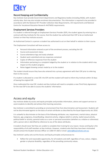

## Record Keeping and Confidentiality

Key Institute must provide Government departments and Regulatory bodies (including ASQA), with student activity data, that may also include enrolment documentation. This information is required to be provided in accordance with the National VET Provider Collection Data Requirements, USI requirements and National Centre for Vocational Education Research AVETMISS requirements.

#### Employment Services Providers

If a student is referred through an Employment Services Provider (ESP), the student agrees by entering into a contract with Key Institute for the course, that the student has authorised their ESP to be an Authorised Contact on their Key Institute account.

An Authorised Contact is a person a student has authorised to act on their behalf in relation to their course.

The Employment Consultant will have access to:

- Personal information entered as part of the enrolment process, excluding the USI
- Course and assessment status
- Course attendance logs and study schedule
- Student work submitted and any responses contained
- Copies of offensive responses from the student
- Information pertaining to a complaint lodged by the student or in relation to the student which may impact on the student progress
- Notes logged showing contact made by or to the student

The student should ensure they have also entered into a privacy agreement with their ESP prior to referring them to the course.

If a student is allocated to a new ESP, the ESP and the student will need to inform Key Institute within 10 days of leaving the original ESP.

Once reallocated the new ESP, student and Key Institute will need to complete a new Third Party Agreement for the new ESP to be able to access the students' information.

# <span id="page-14-0"></span>Access and equity

Key Institute abides by access and equity principles and provides information, advice and support services to assist students to identify and achieve their learning outcomes.

Key Institute is committed to providing an environment free from discrimination and harassment. Students will not be discriminated against on the basis of certain attributes as described by the Equal Opportunity Act 2010.

It is unlawful to discriminate on the basis of the following attributes: sex, impairment, marital status, physical features, age, pregnancy, breastfeeding, industrial activity, religious belief or activity, lawful sexual activity, political belief or activity, parental status as a carer or personal association (whether as a relative or otherwise) with a person who is identified by reference to any of the above attributes.

A student should never feel they are unable to complete their training for any reason. Access and Equity is the responsibility of all staff members at Key Institute. However, students who feel they have been mistreated should contact the Student Services Officer on 1300 471 660 or email: [admin@keyinstitute.com.au](mailto:admin@keyinstitute.com.au)

Key Institute's policy sets out the Access and Equity principles and processes to:

Reflect fair and reasonable opportunity, for all students and staff, regardless of race, colour, religion, gender or physical disability, regardless of the prevailing community values.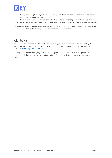

- Equity for all people through the fair and appropriate allocation of resources and involvement in vocational education and training.
- Equality of outcome within vocational education and training for all people, without discrimination.
- Access for all people to appropriate quality vocational education and training programs and services.

The intention of Key Institute is all students have an equal opportunity to successfully gain skills, knowledge and experience through the training and assessment services of Key Institute.

# <span id="page-15-0"></span>**Withdrawal**

If for any reason, you need to withdraw from your course, you must contact Key Institute in writing. A withdrawal will be considered effective from the date of first written contact (letter or email) with Key Institute [\(admin@keyinstitute.com.au\)](mailto:admin@keyinstitute.com.au).

You may also be withdrawn by Key Institute due to significant non-attendance, non-engagement or inappropriate behaviour, as discerned by Key Institute. Once received, withdrawals may take up to 21 days to process.